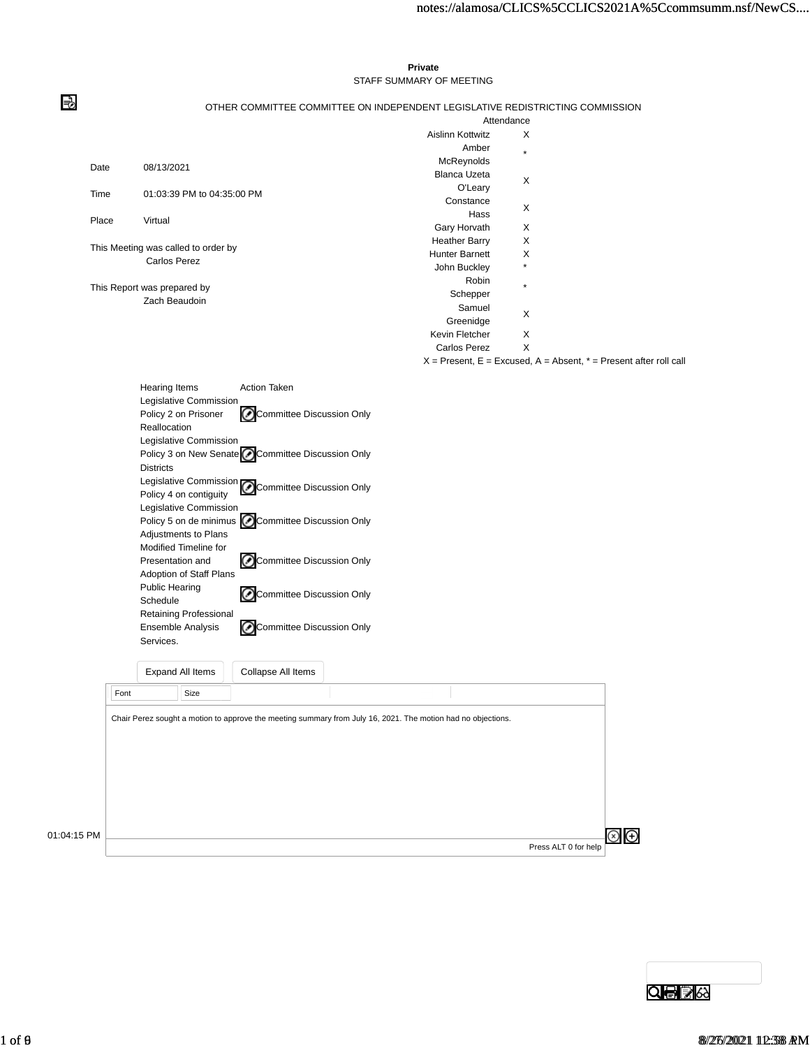#### **Private** STAFF SUMMARY OF MEETING

#### OTHER COMMITTEE COMMITTEE ON INDEPENDENT LEGISLATIVE REDISTRICTING COMMISSION

|       |                                                                                                                                                                                                                                                                                                                                                                                                                                                                                                                                                                                                                                                                                                                   |                       | Attendance                                                            |  |
|-------|-------------------------------------------------------------------------------------------------------------------------------------------------------------------------------------------------------------------------------------------------------------------------------------------------------------------------------------------------------------------------------------------------------------------------------------------------------------------------------------------------------------------------------------------------------------------------------------------------------------------------------------------------------------------------------------------------------------------|-----------------------|-----------------------------------------------------------------------|--|
|       |                                                                                                                                                                                                                                                                                                                                                                                                                                                                                                                                                                                                                                                                                                                   | Aislinn Kottwitz      | X                                                                     |  |
|       |                                                                                                                                                                                                                                                                                                                                                                                                                                                                                                                                                                                                                                                                                                                   | Amber                 | $\star$                                                               |  |
|       | 08/13/2021                                                                                                                                                                                                                                                                                                                                                                                                                                                                                                                                                                                                                                                                                                        | McReynolds            |                                                                       |  |
| Date  |                                                                                                                                                                                                                                                                                                                                                                                                                                                                                                                                                                                                                                                                                                                   | <b>Blanca Uzeta</b>   | X                                                                     |  |
| Time  | 01:03:39 PM to 04:35:00 PM                                                                                                                                                                                                                                                                                                                                                                                                                                                                                                                                                                                                                                                                                        | O'Leary               |                                                                       |  |
|       |                                                                                                                                                                                                                                                                                                                                                                                                                                                                                                                                                                                                                                                                                                                   | Constance             | X                                                                     |  |
| Place | Virtual                                                                                                                                                                                                                                                                                                                                                                                                                                                                                                                                                                                                                                                                                                           | Hass                  |                                                                       |  |
|       |                                                                                                                                                                                                                                                                                                                                                                                                                                                                                                                                                                                                                                                                                                                   | Gary Horvath          | X                                                                     |  |
|       |                                                                                                                                                                                                                                                                                                                                                                                                                                                                                                                                                                                                                                                                                                                   | <b>Heather Barry</b>  | X                                                                     |  |
|       | This Meeting was called to order by<br>Carlos Perez                                                                                                                                                                                                                                                                                                                                                                                                                                                                                                                                                                                                                                                               | <b>Hunter Barnett</b> | X                                                                     |  |
|       |                                                                                                                                                                                                                                                                                                                                                                                                                                                                                                                                                                                                                                                                                                                   | John Buckley          | $\star$                                                               |  |
|       |                                                                                                                                                                                                                                                                                                                                                                                                                                                                                                                                                                                                                                                                                                                   | Robin                 | $\star$                                                               |  |
|       | This Report was prepared by                                                                                                                                                                                                                                                                                                                                                                                                                                                                                                                                                                                                                                                                                       | Schepper              |                                                                       |  |
|       | Zach Beaudoin                                                                                                                                                                                                                                                                                                                                                                                                                                                                                                                                                                                                                                                                                                     | Samuel                |                                                                       |  |
|       |                                                                                                                                                                                                                                                                                                                                                                                                                                                                                                                                                                                                                                                                                                                   | Greenidge             | X                                                                     |  |
|       |                                                                                                                                                                                                                                                                                                                                                                                                                                                                                                                                                                                                                                                                                                                   | Kevin Fletcher        | X                                                                     |  |
|       |                                                                                                                                                                                                                                                                                                                                                                                                                                                                                                                                                                                                                                                                                                                   | Carlos Perez          | X                                                                     |  |
|       |                                                                                                                                                                                                                                                                                                                                                                                                                                                                                                                                                                                                                                                                                                                   |                       | $X =$ Present, E = Excused, A = Absent, $* =$ Present after roll call |  |
|       | <b>Hearing Items</b><br><b>Action Taken</b><br>Legislative Commission<br>Committee Discussion Only<br>Policy 2 on Prisoner<br>Reallocation<br>Legislative Commission<br>Policy 3 on New Senate CCommittee Discussion Only<br><b>Districts</b><br>Legislative Commission<br>Committee Discussion Only<br>Policy 4 on contiguity<br>Legislative Commission<br>Policy 5 on de minimus CCommittee Discussion Only<br>Adjustments to Plans<br><b>Modified Timeline for</b><br>⊘<br>Committee Discussion Only<br>Presentation and<br>Adoption of Staff Plans<br><b>Public Hearing</b><br>Committee Discussion Only<br>Schedule<br>Retaining Professional<br>Committee Discussion Only<br>Ensemble Analysis<br>Services. |                       |                                                                       |  |

Expand All Items Collapse All Items **Legislative Commission Policy 2 on Prisoner Reallocation - Committee Discussion Only** 01:18:03 PM 01:04:15 PM Font Size Press ALT 0 for help Chair Perez sought a motion to approve the meeting summary from July 16, 2021. The motion had no objections.

QOBA

 $\bigoplus$ 

⇛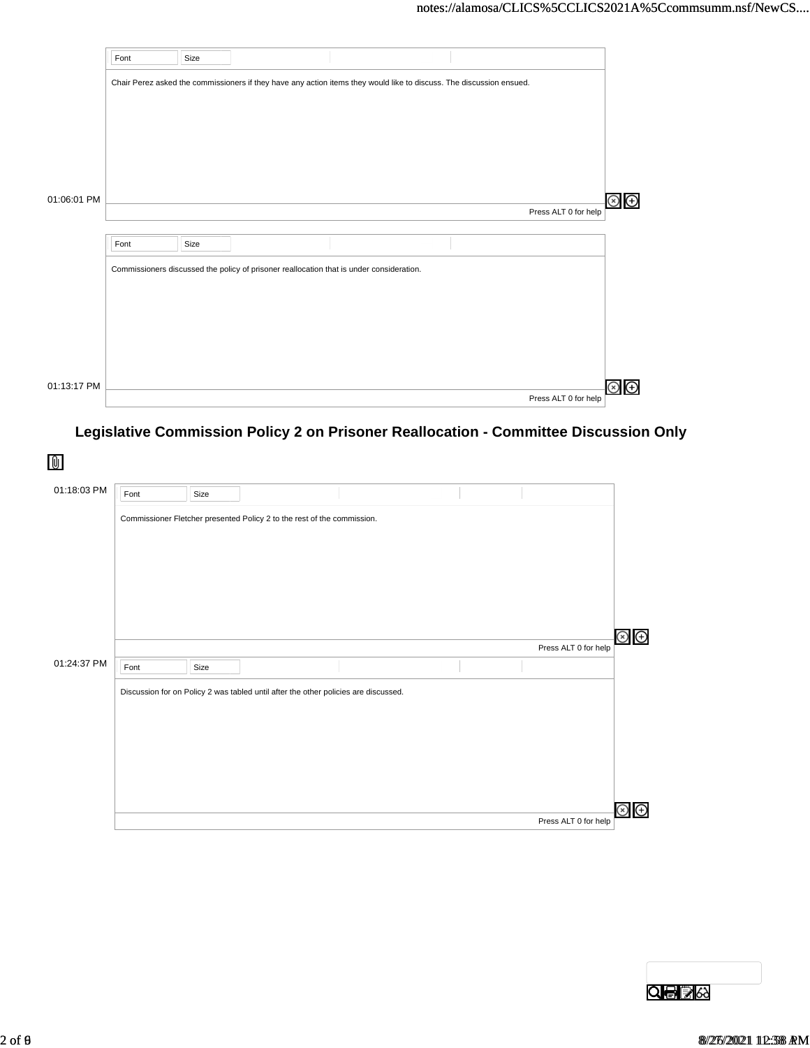|             | Font | Size |                                                                                          |                                                                                                                      |                      |
|-------------|------|------|------------------------------------------------------------------------------------------|----------------------------------------------------------------------------------------------------------------------|----------------------|
|             |      |      |                                                                                          | Chair Perez asked the commissioners if they have any action items they would like to discuss. The discussion ensued. |                      |
|             |      |      |                                                                                          |                                                                                                                      |                      |
|             |      |      |                                                                                          |                                                                                                                      |                      |
|             |      |      |                                                                                          |                                                                                                                      |                      |
|             |      |      |                                                                                          |                                                                                                                      |                      |
| 01:06:01 PM |      |      |                                                                                          |                                                                                                                      | Press ALT 0 for help |
|             |      |      |                                                                                          |                                                                                                                      |                      |
|             | Font | Size |                                                                                          |                                                                                                                      |                      |
|             |      |      | Commissioners discussed the policy of prisoner reallocation that is under consideration. |                                                                                                                      |                      |
|             |      |      |                                                                                          |                                                                                                                      |                      |
|             |      |      |                                                                                          |                                                                                                                      |                      |
|             |      |      |                                                                                          |                                                                                                                      |                      |
|             |      |      |                                                                                          |                                                                                                                      |                      |
| 01:13:17 PM |      |      |                                                                                          |                                                                                                                      |                      |
|             |      |      |                                                                                          |                                                                                                                      | Press ALT 0 for help |

# **Legislative Commission Policy 2 on Prisoner Reallocation - Committee Discussion Only**

| 01:18:03 PM | Font | Size |                                                                                     |  |                      |               |
|-------------|------|------|-------------------------------------------------------------------------------------|--|----------------------|---------------|
|             |      |      | Commissioner Fletcher presented Policy 2 to the rest of the commission.             |  |                      |               |
|             |      |      |                                                                                     |  |                      |               |
|             |      |      |                                                                                     |  |                      |               |
|             |      |      |                                                                                     |  | Press ALT 0 for help | $\circledast$ |
| 01:24:37 PM |      |      |                                                                                     |  |                      |               |
|             | Font | Size |                                                                                     |  |                      |               |
|             |      |      | Discussion for on Policy 2 was tabled until after the other policies are discussed. |  |                      |               |
|             |      |      |                                                                                     |  |                      |               |
|             |      |      |                                                                                     |  |                      |               |
|             |      |      |                                                                                     |  | $\rm \odot$          | Θ             |

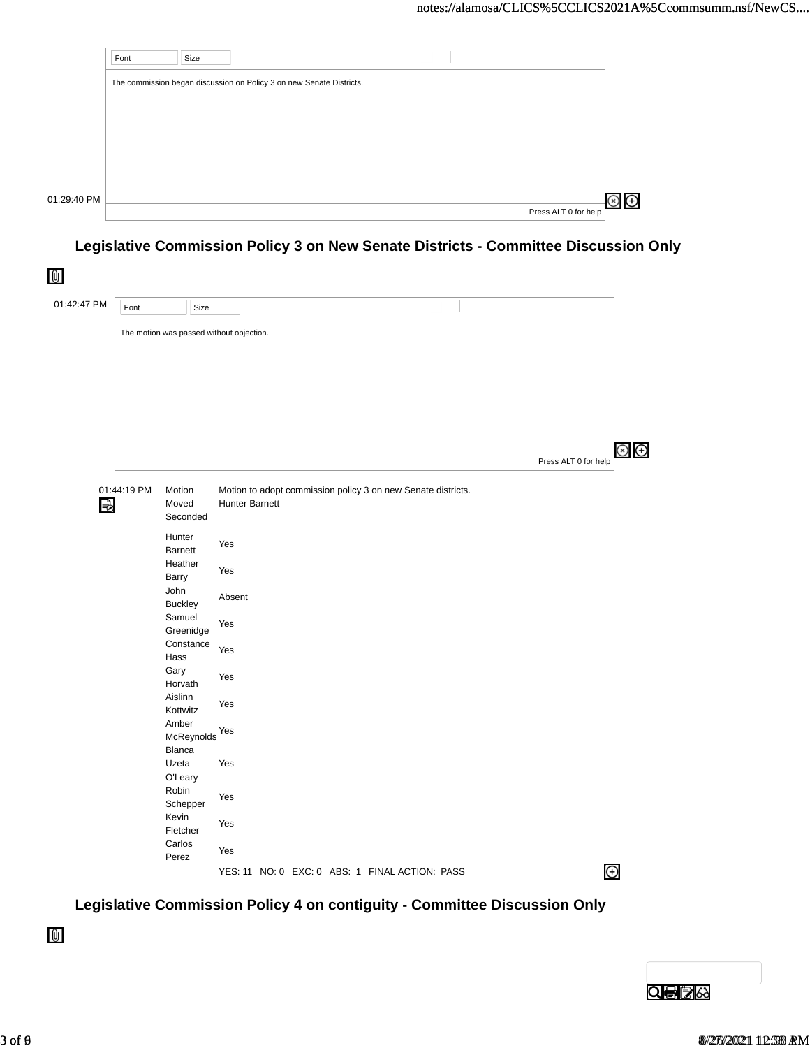|             | Font | Size                                                                 |  |  |                      |  |
|-------------|------|----------------------------------------------------------------------|--|--|----------------------|--|
|             |      | The commission began discussion on Policy 3 on new Senate Districts. |  |  |                      |  |
|             |      |                                                                      |  |  |                      |  |
|             |      |                                                                      |  |  |                      |  |
|             |      |                                                                      |  |  |                      |  |
|             |      |                                                                      |  |  |                      |  |
|             |      |                                                                      |  |  |                      |  |
| 01:29:40 PM |      |                                                                      |  |  | Press ALT 0 for help |  |

Constance

### ommissic **Legislative Commission Policy 3 on New Senate Districts - Committee Discussion Only**

| 01:42:47 PM | Font        |                            | Size                                     |                |                                                              |  |                      |                               |
|-------------|-------------|----------------------------|------------------------------------------|----------------|--------------------------------------------------------------|--|----------------------|-------------------------------|
|             |             |                            | The motion was passed without objection. |                |                                                              |  |                      |                               |
|             |             |                            |                                          |                |                                                              |  |                      | $\circledcirc$ $\circledcirc$ |
|             | 01:44:19 PM | Motion                     |                                          |                | Motion to adopt commission policy 3 on new Senate districts. |  | Press ALT 0 for help |                               |
| ⇛           |             | Moved<br>Seconded          |                                          | Hunter Barnett |                                                              |  |                      |                               |
|             |             | Hunter<br>Barnett          | Yes                                      |                |                                                              |  |                      |                               |
|             |             | Heather<br>Barry           | Yes                                      |                |                                                              |  |                      |                               |
|             |             | John<br><b>Buckley</b>     | Absent                                   |                |                                                              |  |                      |                               |
|             |             | Samuel<br>Greenidge        | Yes                                      |                |                                                              |  |                      |                               |
|             |             | Constance<br>Hass          | Yes                                      |                |                                                              |  |                      |                               |
|             |             | Gary<br>Horvath<br>Aislinn | Yes                                      |                |                                                              |  |                      |                               |
|             |             | Kottwitz<br>Amber          | Yes                                      |                |                                                              |  |                      |                               |
|             |             | Blanca                     | McReynolds <sup>Yes</sup>                |                |                                                              |  |                      |                               |
|             |             | Uzeta<br>O'Leary           | Yes                                      |                |                                                              |  |                      |                               |
|             |             | Robin<br>Schepper          | Yes                                      |                |                                                              |  |                      |                               |
|             |             | Kevin<br>Fletcher          | Yes                                      |                |                                                              |  |                      |                               |
|             |             | Carlos<br>Perez            | Yes                                      |                |                                                              |  |                      |                               |
|             |             |                            |                                          |                | YES: 11 NO: 0 EXC: 0 ABS: 1 FINAL ACTION: PASS               |  |                      | $\bigoplus$                   |

#### Kevin Legislative Commission Policy 4 on contiguity - Committee Discussion Only

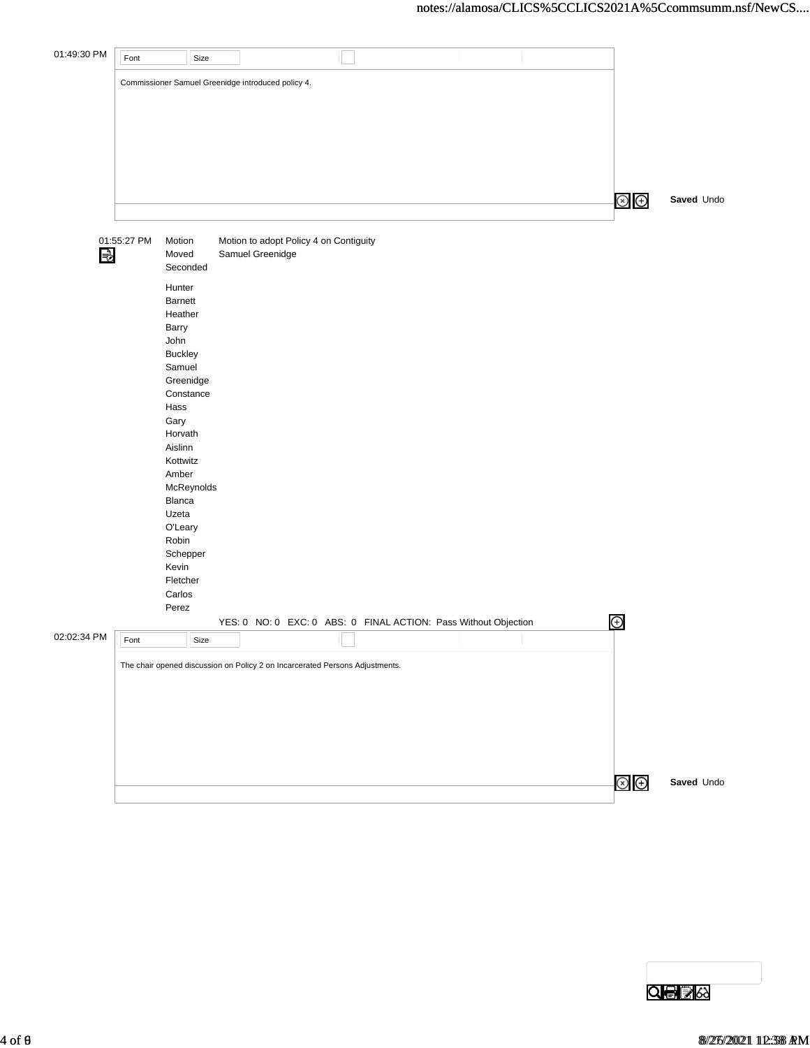| 01:49:30 PM | Font        | Size                                                                         |                                                                 |  |  |  |  |                |            |
|-------------|-------------|------------------------------------------------------------------------------|-----------------------------------------------------------------|--|--|--|--|----------------|------------|
|             |             |                                                                              |                                                                 |  |  |  |  |                |            |
|             |             | Commissioner Samuel Greenidge introduced policy 4.                           |                                                                 |  |  |  |  |                |            |
|             |             |                                                                              |                                                                 |  |  |  |  |                |            |
|             |             |                                                                              |                                                                 |  |  |  |  |                |            |
|             |             |                                                                              |                                                                 |  |  |  |  |                |            |
|             |             |                                                                              |                                                                 |  |  |  |  |                |            |
|             |             |                                                                              |                                                                 |  |  |  |  |                |            |
|             |             |                                                                              |                                                                 |  |  |  |  | $\circledcirc$ | Saved Undo |
|             |             |                                                                              |                                                                 |  |  |  |  |                |            |
|             | 01:55:27 PM | Motion                                                                       | Motion to adopt Policy 4 on Contiguity                          |  |  |  |  |                |            |
| В           |             | Moved<br>Seconded                                                            | Samuel Greenidge                                                |  |  |  |  |                |            |
|             |             | Hunter                                                                       |                                                                 |  |  |  |  |                |            |
|             |             | Barnett                                                                      |                                                                 |  |  |  |  |                |            |
|             |             | Heather                                                                      |                                                                 |  |  |  |  |                |            |
|             |             | Barry                                                                        |                                                                 |  |  |  |  |                |            |
|             |             | John                                                                         |                                                                 |  |  |  |  |                |            |
|             |             | Buckley<br>Samuel                                                            |                                                                 |  |  |  |  |                |            |
|             |             | Greenidge                                                                    |                                                                 |  |  |  |  |                |            |
|             |             | Constance                                                                    |                                                                 |  |  |  |  |                |            |
|             |             | Hass                                                                         |                                                                 |  |  |  |  |                |            |
|             |             | Gary                                                                         |                                                                 |  |  |  |  |                |            |
|             |             | Horvath<br>Aislinn                                                           |                                                                 |  |  |  |  |                |            |
|             |             | Kottwitz                                                                     |                                                                 |  |  |  |  |                |            |
|             |             | Amber                                                                        |                                                                 |  |  |  |  |                |            |
|             |             | McReynolds                                                                   |                                                                 |  |  |  |  |                |            |
|             |             | Blanca                                                                       |                                                                 |  |  |  |  |                |            |
|             |             | Uzeta                                                                        |                                                                 |  |  |  |  |                |            |
|             |             | O'Leary<br>Robin                                                             |                                                                 |  |  |  |  |                |            |
|             |             | Schepper                                                                     |                                                                 |  |  |  |  |                |            |
|             |             | Kevin                                                                        |                                                                 |  |  |  |  |                |            |
|             |             | Fletcher                                                                     |                                                                 |  |  |  |  |                |            |
|             |             | Carlos<br>Perez                                                              |                                                                 |  |  |  |  |                |            |
|             |             |                                                                              | YES: 0 NO: 0 EXC: 0 ABS: 0 FINAL ACTION: Pass Without Objection |  |  |  |  | $\bigoplus$    |            |
| 02:02:34 PM | Font        | Size                                                                         |                                                                 |  |  |  |  |                |            |
|             |             |                                                                              |                                                                 |  |  |  |  |                |            |
|             |             | The chair opened discussion on Policy 2 on Incarcerated Persons Adjustments. |                                                                 |  |  |  |  |                |            |
|             |             |                                                                              |                                                                 |  |  |  |  |                |            |
|             |             |                                                                              |                                                                 |  |  |  |  |                |            |
|             |             |                                                                              |                                                                 |  |  |  |  |                |            |
|             |             |                                                                              |                                                                 |  |  |  |  |                |            |
|             |             |                                                                              |                                                                 |  |  |  |  |                |            |
|             |             |                                                                              |                                                                 |  |  |  |  |                |            |
|             |             |                                                                              |                                                                 |  |  |  |  | $\circledcirc$ | Saved Undo |

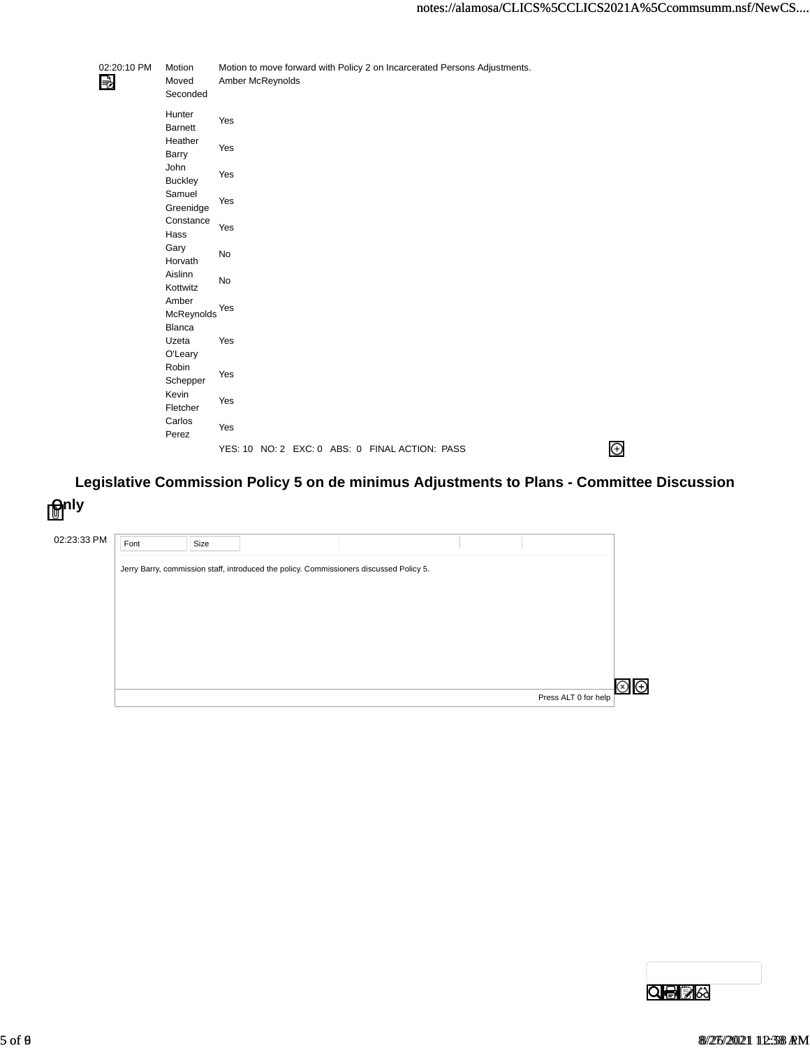$\bigoplus$ 

| 02:20:10 PM<br>₩ | Motion<br>Moved<br>Seconded | Amber McReynolds |  |                                                |  | Motion to move forward with Policy 2 on Incarcerated Persons Adjustments. |  |  |
|------------------|-----------------------------|------------------|--|------------------------------------------------|--|---------------------------------------------------------------------------|--|--|
|                  | Hunter<br><b>Barnett</b>    | Yes              |  |                                                |  |                                                                           |  |  |
|                  | Heather<br>Barry            | Yes              |  |                                                |  |                                                                           |  |  |
|                  | John<br><b>Buckley</b>      | Yes              |  |                                                |  |                                                                           |  |  |
|                  | Samuel<br>Greenidge         | Yes              |  |                                                |  |                                                                           |  |  |
|                  | Constance<br>Hass           | Yes              |  |                                                |  |                                                                           |  |  |
|                  | Gary<br>Horvath             | No               |  |                                                |  |                                                                           |  |  |
|                  | Aislinn<br>Kottwitz         | No               |  |                                                |  |                                                                           |  |  |
|                  | Amber<br>McReynolds         | Yes              |  |                                                |  |                                                                           |  |  |
|                  | Blanca<br>Uzeta<br>O'Leary  | Yes              |  |                                                |  |                                                                           |  |  |
|                  | Robin<br>Schepper           | Yes              |  |                                                |  |                                                                           |  |  |
|                  | Kevin<br>Fletcher           | Yes              |  |                                                |  |                                                                           |  |  |
|                  | Carlos<br>Perez             | Yes              |  |                                                |  |                                                                           |  |  |
|                  |                             |                  |  | YES: 10 NO: 2 EXC: 0 ABS: 0 FINAL ACTION: PASS |  |                                                                           |  |  |

Legislative Commission Policy 5 on de minimus Adjustments to Plans - Committee Discussion **Only**

| 02:23:33 PM | Font | Size |                                                                                         |  |                           |
|-------------|------|------|-----------------------------------------------------------------------------------------|--|---------------------------|
|             |      |      | Jerry Barry, commission staff, introduced the policy. Commissioners discussed Policy 5. |  |                           |
|             |      |      |                                                                                         |  |                           |
|             |      |      |                                                                                         |  |                           |
|             |      |      |                                                                                         |  |                           |
|             |      |      |                                                                                         |  |                           |
|             |      |      |                                                                                         |  |                           |
|             |      |      |                                                                                         |  | Θ<br>Press ALT 0 for help |

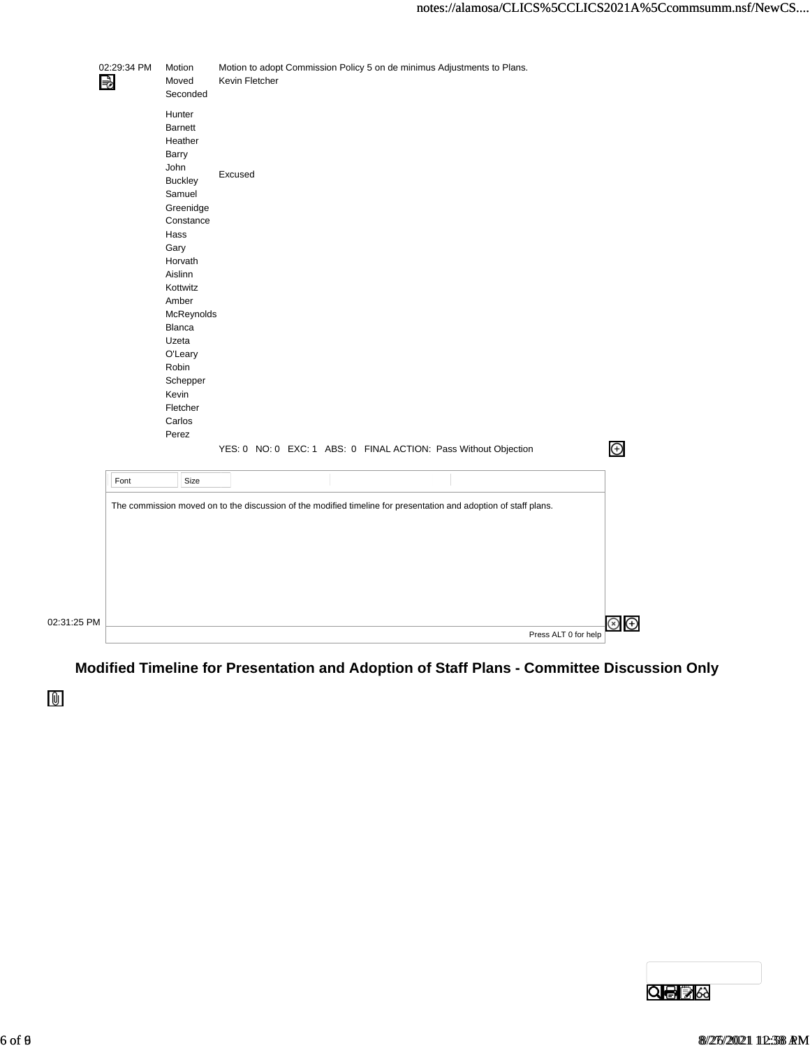|             | 02:29:34 PM<br>В | Motion<br>Moved<br>Seconded                                                                                                                                                                                                                     | Kevin Fletcher |  | Motion to adopt Commission Policy 5 on de minimus Adjustments to Plans. |  |  |                      |                              |
|-------------|------------------|-------------------------------------------------------------------------------------------------------------------------------------------------------------------------------------------------------------------------------------------------|----------------|--|-------------------------------------------------------------------------|--|--|----------------------|------------------------------|
|             |                  | Hunter<br><b>Barnett</b><br>Heather<br>Barry<br>John<br><b>Buckley</b><br>Samuel<br>Greenidge<br>Constance<br>Hass<br>Gary<br>Horvath<br>Aislinn<br>Kottwitz<br>Amber<br>McReynolds<br>Blanca<br>Uzeta<br>O'Leary<br>Robin<br>Schepper<br>Kevin | Excused        |  |                                                                         |  |  |                      |                              |
|             |                  | Fletcher<br>Carlos                                                                                                                                                                                                                              |                |  |                                                                         |  |  |                      |                              |
|             |                  | Perez                                                                                                                                                                                                                                           |                |  |                                                                         |  |  |                      |                              |
|             |                  |                                                                                                                                                                                                                                                 |                |  | YES: 0 NO: 0 EXC: 1 ABS: 0 FINAL ACTION: Pass Without Objection         |  |  |                      | $\bigoplus$                  |
|             | Font             | Size                                                                                                                                                                                                                                            |                |  |                                                                         |  |  |                      |                              |
|             |                  | The commission moved on to the discussion of the modified timeline for presentation and adoption of staff plans.                                                                                                                                |                |  |                                                                         |  |  |                      |                              |
| 02:31:25 PM |                  |                                                                                                                                                                                                                                                 |                |  |                                                                         |  |  | Press ALT 0 for help | ⊕<br>$\left( \times \right)$ |

**Modified Timeline for Presentation and Adoption of Staff Plans - Committee Discussion Only**

 $\mathbf 0$ 

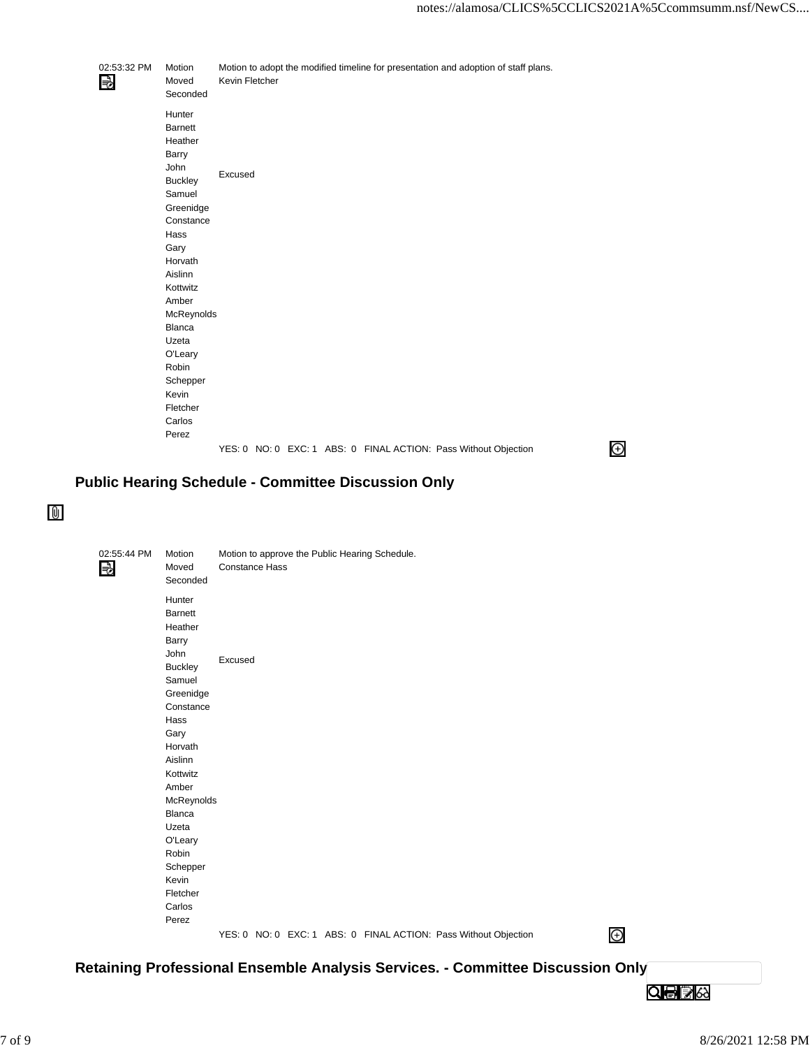$\bigoplus$ 

| 02:53:32 PM<br>₩ | Motion<br>Moved<br>Seconded                                                                                                                                                                                   | Kevin Fletcher |  |  | Motion to adopt the modified timeline for presentation and adoption of staff plans. |  |
|------------------|---------------------------------------------------------------------------------------------------------------------------------------------------------------------------------------------------------------|----------------|--|--|-------------------------------------------------------------------------------------|--|
|                  | Hunter<br><b>Barnett</b><br>Heather<br>Barry<br><b>John</b><br><b>Buckley</b><br>Samuel<br>Greenidge<br>Constance<br>Hass<br>Gary<br>Horvath<br>Aislinn<br>Kottwitz<br>Amber<br>McReynolds<br>Blanca<br>Uzeta | Excused        |  |  |                                                                                     |  |
|                  | O'Leary                                                                                                                                                                                                       |                |  |  |                                                                                     |  |
|                  | Robin<br>Schepper                                                                                                                                                                                             |                |  |  |                                                                                     |  |
|                  | Kevin                                                                                                                                                                                                         |                |  |  |                                                                                     |  |
|                  | Fletcher                                                                                                                                                                                                      |                |  |  |                                                                                     |  |
|                  | Carlos                                                                                                                                                                                                        |                |  |  |                                                                                     |  |
|                  | Perez                                                                                                                                                                                                         |                |  |  |                                                                                     |  |
|                  |                                                                                                                                                                                                               |                |  |  | YES: 0 NO: 0 EXC: 1 ABS: 0 FINAL ACTION: Pass Without Objection                     |  |
|                  |                                                                                                                                                                                                               |                |  |  |                                                                                     |  |

## **Public Hearing Schedule - Committee Discussion Only**

 $\mathbb{\Theta}$ 

| 02:55:44 PM<br>₹ | Motion<br>Moved<br>Seconded                                                                           | Constance Hass |  | Motion to approve the Public Hearing Schedule. |                                                                 |   |
|------------------|-------------------------------------------------------------------------------------------------------|----------------|--|------------------------------------------------|-----------------------------------------------------------------|---|
|                  | Hunter<br>Barnett<br>Heather<br>Barry<br>John<br><b>Buckley</b><br>Samuel<br>Greenidge                | Excused        |  |                                                |                                                                 |   |
|                  | Constance<br>Hass<br>Gary<br>Horvath<br>Aislinn<br>Kottwitz<br>Amber                                  |                |  |                                                |                                                                 |   |
|                  | McReynolds<br>Blanca<br>Uzeta<br>O'Leary<br>Robin<br>Schepper<br>Kevin<br>Fletcher<br>Carlos<br>Perez |                |  |                                                |                                                                 |   |
|                  |                                                                                                       |                |  |                                                | YES: 0 NO: 0 EXC: 1 ABS: 0 FINAL ACTION: Pass Without Objection | Θ |

**Retaining Professional Ensemble Analysis Services. - Committee Discussion Only**

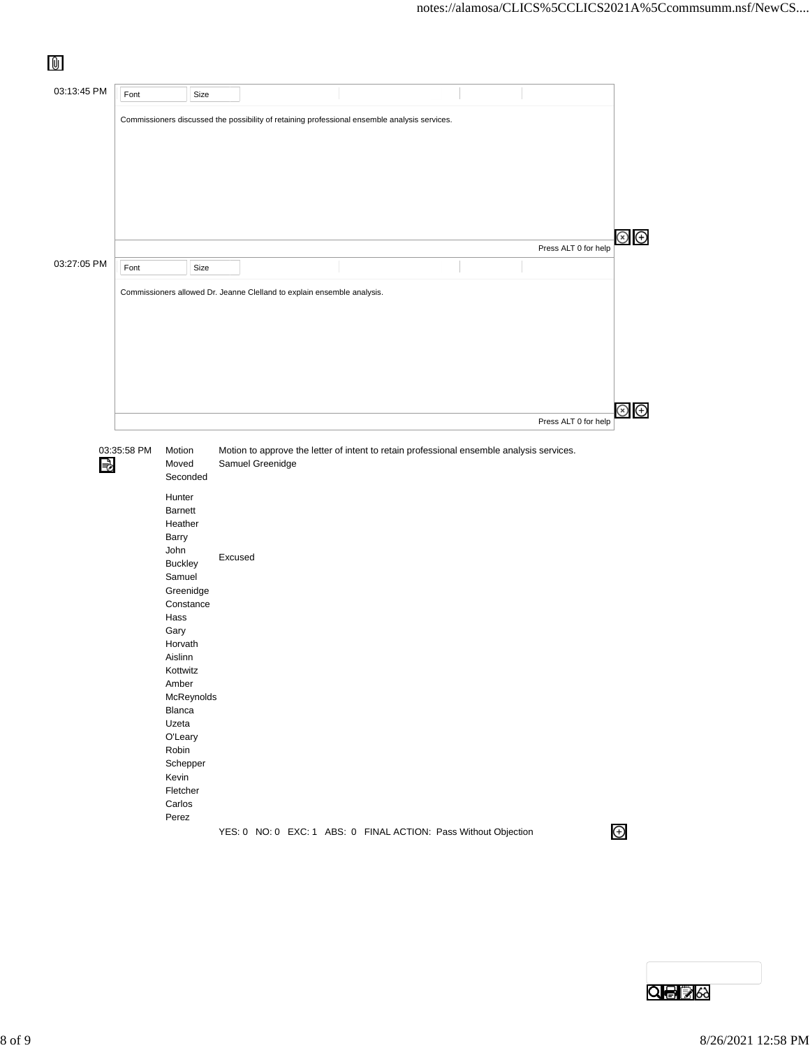| ⋓           |      |                                                                                                                                                                                                                                                             |                             |                                                                                               |  |                                        |
|-------------|------|-------------------------------------------------------------------------------------------------------------------------------------------------------------------------------------------------------------------------------------------------------------|-----------------------------|-----------------------------------------------------------------------------------------------|--|----------------------------------------|
| 03:13:45 PM | Font | Size                                                                                                                                                                                                                                                        |                             |                                                                                               |  |                                        |
|             |      |                                                                                                                                                                                                                                                             |                             | Commissioners discussed the possibility of retaining professional ensemble analysis services. |  |                                        |
|             |      |                                                                                                                                                                                                                                                             |                             |                                                                                               |  | $\circledcirc$<br>Press ALT 0 for help |
| 03:27:05 PM | Font | Size                                                                                                                                                                                                                                                        |                             |                                                                                               |  |                                        |
|             |      |                                                                                                                                                                                                                                                             |                             |                                                                                               |  |                                        |
|             |      |                                                                                                                                                                                                                                                             |                             |                                                                                               |  | $\circledast$<br>Press ALT 0 for help  |
| ₹           |      | Moved<br>Seconded<br>Hunter<br><b>Barnett</b><br>Heather<br>Barry<br>John<br><b>Buckley</b><br>Samuel<br>Greenidge<br>Constance<br>Hass<br>Gary<br>Horvath<br>Aislinn<br>Kottwitz<br>Amber<br>McReynolds<br>Blanca<br>Uzeta<br>O'Leary<br>Robin<br>Schepper | Samuel Greenidge<br>Excused |                                                                                               |  |                                        |
|             |      | Kevin<br>Fletcher<br>Carlos<br>Perez                                                                                                                                                                                                                        |                             | YES: 0 NO: 0 EXC: 1 ABS: 0 FINAL ACTION: Pass Without Objection                               |  | $\bigoplus$                            |